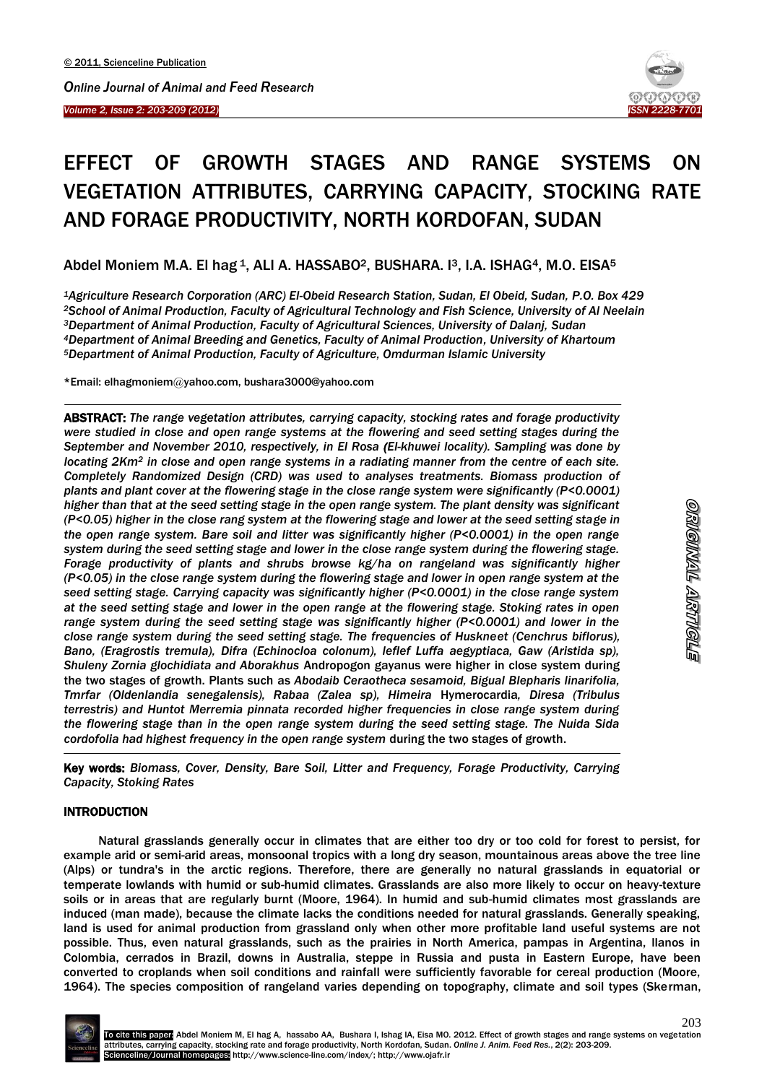



# EFFECT OF GROWTH STAGES AND RANGE SYSTEMS ON VEGETATION ATTRIBUTES, CARRYING CAPACITY, STOCKING RATE AND FORAGE PRODUCTIVITY, NORTH KORDOFAN, SUDAN

Abdel Moniem M.A. El hag <sup>1</sup>, ALI A. HASSABO<sup>2</sup>, BUSHARA. <sup>13</sup>, I.A. ISHAG<sup>4</sup>, M.O. EISA<sup>5</sup>

*Agriculture Research Corporation (ARC) El-Obeid Research Station, Sudan, El Obeid, Sudan, P.O. Box 429 School of Animal Production, Faculty of Agricultural Technology and Fish Science, University of Al Neelain Department of Animal Production, Faculty of Agricultural Sciences, University of Dalanj, Sudan Department of Animal Breeding and Genetics, Faculty of Animal Production, University of Khartoum Department of Animal Production, Faculty of Agriculture, Omdurman Islamic University*

\*Email: elhagmoniem@yahoo.com, bushara3000@yahoo.com

ABSTRACT: *The range vegetation attributes, carrying capacity, stocking rates and forage productivity were studied in close and open range systems at the flowering and seed setting stages during the September and November 2010, respectively, in El Rosa (El-khuwei locality). Sampling was done by locating 2Km<sup>2</sup> in close and open range systems in a radiating manner from the centre of each site. Completely Randomized Design (CRD) was used to analyses treatments. Biomass production of plants and plant cover at the flowering stage in the close range system were significantly (P<0.0001) higher than that at the seed setting stage in the open range system. The plant density was significant (P<0.05) higher in the close rang system at the flowering stage and lower at the seed setting stage in the open range system. Bare soil and litter was significantly higher (P<0.0001) in the open range system during the seed setting stage and lower in the close range system during the flowering stage. Forage productivity of plants and shrubs browse kg/ha on rangeland was significantly higher (P<0.05) in the close range system during the flowering stage and lower in open range system at the seed setting stage. Carrying capacity was significantly higher (P<0.0001) in the close range system at the seed setting stage and lower in the open range at the flowering stage. Stoking rates in open range system during the seed setting stage was significantly higher (P<0.0001) and lower in the close range system during the seed setting stage. The frequencies of Huskneet (Cenchrus biflorus),*  Bano, (Eragrostis tremula), Difra (Echinocloa colonum), leflef Luffa aegyptiaca, Gaw (Aristida sp), *Shuleny Zornia glochidiata and Aborakhus* Andropogon gayanus were higher in close system during the two stages of growth. Plants such as *Abodaib Ceraotheca sesamoid, Bigual Blepharis linarifolia, Tmrfar (Oldenlandia senegalensis), Rabaa (Zalea sp), Himeira* Hymerocardia*, Diresa (Tribulus terrestris) and Huntot Merremia pinnata recorded higher frequencies in close range system during the flowering stage than in the open range system during the seed setting stage. The Nuida Sida cordofolia had highest frequency in the open range system* during the two stages of growth.

Key words: *Biomass, Cover, Density, Bare Soil, Litter and Frequency, Forage Productivity, Carrying Capacity, Stoking Rates*

# INTRODUCTION

-

**.** 

Natural grasslands generally occur in climates that are either too dry or too cold for forest to persist, for example arid or semi-arid areas, monsoonal tropics with a long dry season, mountainous areas above the tree line (Alps) or tundra's in the arctic regions. Therefore, there are generally no natural grasslands in equatorial or temperate lowlands with humid or sub-humid climates. Grasslands are also more likely to occur on heavy-texture soils or in areas that are regularly burnt (Moore, 1964). In humid and sub-humid climates most grasslands are induced (man made), because the climate lacks the conditions needed for natural grasslands. Generally speaking, land is used for animal production from grassland only when other more profitable land useful systems are not possible. Thus, even natural grasslands, such as the prairies in North America, pampas in Argentina, llanos in Colombia, cerrados in Brazil, downs in Australia, steppe in Russia and pusta in Eastern Europe, have been converted to croplands when soil conditions and rainfall were sufficiently favorable for cereal production (Moore, 1964). The species composition of rangeland varies depending on topography, climate and soil types (Skerman,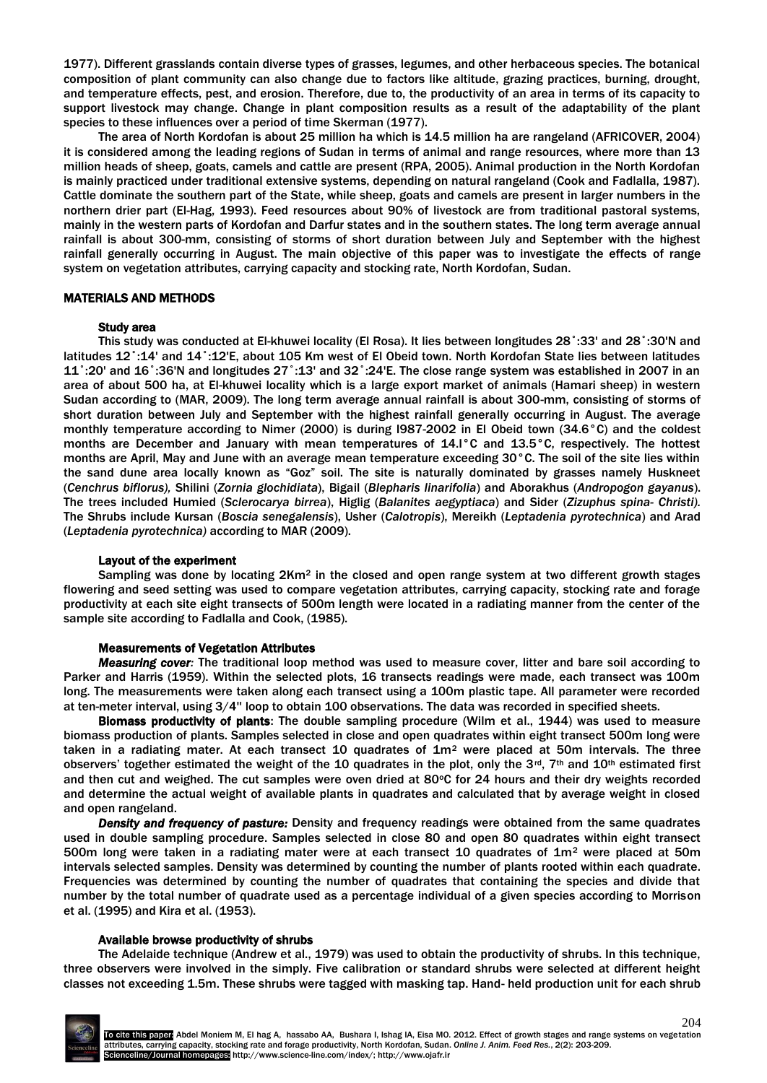1977). Different grasslands contain diverse types of grasses, legumes, and other herbaceous species. The botanical composition of plant community can also change due to factors like altitude, grazing practices, burning, drought, and temperature effects, pest, and erosion. Therefore, due to, the productivity of an area in terms of its capacity to support livestock may change. Change in plant composition results as a result of the adaptability of the plant species to these influences over a period of time Skerman (1977).

The area of North Kordofan is about 25 million ha which is 14.5 million ha are rangeland (AFRICOVER, 2004) it is considered among the leading regions of Sudan in terms of animal and range resources, where more than 13 million heads of sheep, goats, camels and cattle are present (RPA, 2005). Animal production in the North Kordofan is mainly practiced under traditional extensive systems, depending on natural rangeland (Cook and Fadlalla, 1987). Cattle dominate the southern part of the State, while sheep, goats and camels are present in larger numbers in the northern drier part (El-Hag, 1993). Feed resources about 90% of livestock are from traditional pastoral systems, mainly in the western parts of Kordofan and Darfur states and in the southern states. The long term average annual rainfall is about 300-mm, consisting of storms of short duration between July and September with the highest rainfall generally occurring in August. The main objective of this paper was to investigate the effects of range system on vegetation attributes, carrying capacity and stocking rate, North Kordofan, Sudan.

## MATERIALS AND METHODS

#### Study area

This study was conducted at El-khuwei locality (El Rosa). It lies between longitudes 28˚:33' and 28˚:30'N and latitudes 12˚:14' and 14˚:12'E, about 105 Km west of El Obeid town. North Kordofan State lies between latitudes 11˚:20' and 16˚:36'N and longitudes 27˚:13' and 32˚:24'E. The close range system was established in 2007 in an area of about 500 ha, at El-khuwei locality which is a large export market of animals (Hamari sheep) in western Sudan according to (MAR, 2009). The long term average annual rainfall is about 300-mm, consisting of storms of short duration between July and September with the highest rainfall generally occurring in August. The average monthly temperature according to Nimer (2000) is during I987-2002 in El Obeid town (34.6°C) and the coldest months are December and January with mean temperatures of 14.I°C and 13.5°C, respectively. The hottest months are April, May and June with an average mean temperature exceeding 30°C. The soil of the site lies within the sand dune area locally known as "Goz" soil. The site is naturally dominated by grasses namely Huskneet (*Cenchrus biflorus),* Shilini (*Zornia glochidiata*), Bigail (*Blepharis linarifolia*) and Aborakhus (*Andropogon gayanus*). The trees included Humied (*Sclerocarya birrea*), Higlig (*Balanites aegyptiaca*) and Sider (*Zizuphus spina- Christi).*  The Shrubs include Kursan (*Boscia senegalensis*), Usher (*Calotropis*), Mereikh (*Leptadenia pyrotechnica*) and Arad (*Leptadenia pyrotechnica)* according to MAR (2009).

#### Layout of the experiment

Sampling was done by locating  $2$ Km<sup>2</sup> in the closed and open range system at two different growth stages flowering and seed setting was used to compare vegetation attributes, carrying capacity, stocking rate and forage productivity at each site eight transects of 500m length were located in a radiating manner from the center of the sample site according to Fadlalla and Cook, (1985).

#### Measurements of Vegetation Attributes

*Measuring cover:* The traditional loop method was used to measure cover, litter and bare soil according to Parker and Harris (1959). Within the selected plots, 16 transects readings were made, each transect was 100m long. The measurements were taken along each transect using a 100m plastic tape. All parameter were recorded at ten-meter interval, using 3/4'' loop to obtain 100 observations. The data was recorded in specified sheets.

Biomass productivity of plants: The double sampling procedure (Wilm et al., 1944) was used to measure biomass production of plants. Samples selected in close and open quadrates within eight transect 500m long were taken in a radiating mater. At each transect 10 quadrates of  $1m<sup>2</sup>$  were placed at 50m intervals. The three observers' together estimated the weight of the 10 quadrates in the plot, only the 3<sup>rd</sup>, 7<sup>th</sup> and 10<sup>th</sup> estimated first and then cut and weighed. The cut samples were oven dried at 80°C for 24 hours and their dry weights recorded and determine the actual weight of available plants in quadrates and calculated that by average weight in closed and open rangeland.

*Density and frequency of pasture:* Density and frequency readings were obtained from the same quadrates used in double sampling procedure. Samples selected in close 80 and open 80 quadrates within eight transect 500m long were taken in a radiating mater were at each transect 10 quadrates of 1m<sup>2</sup> were placed at 50m intervals selected samples. Density was determined by counting the number of plants rooted within each quadrate. Frequencies was determined by counting the number of quadrates that containing the species and divide that number by the total number of quadrate used as a percentage individual of a given species according to Morrison et al. (1995) and Kira et al. (1953).

## Available browse productivity of shrubs

The Adelaide technique (Andrew et al., 1979) was used to obtain the productivity of shrubs. In this technique, three observers were involved in the simply. Five calibration or standard shrubs were selected at different height classes not exceeding 1.5m. These shrubs were tagged with masking tap. Hand- held production unit for each shrub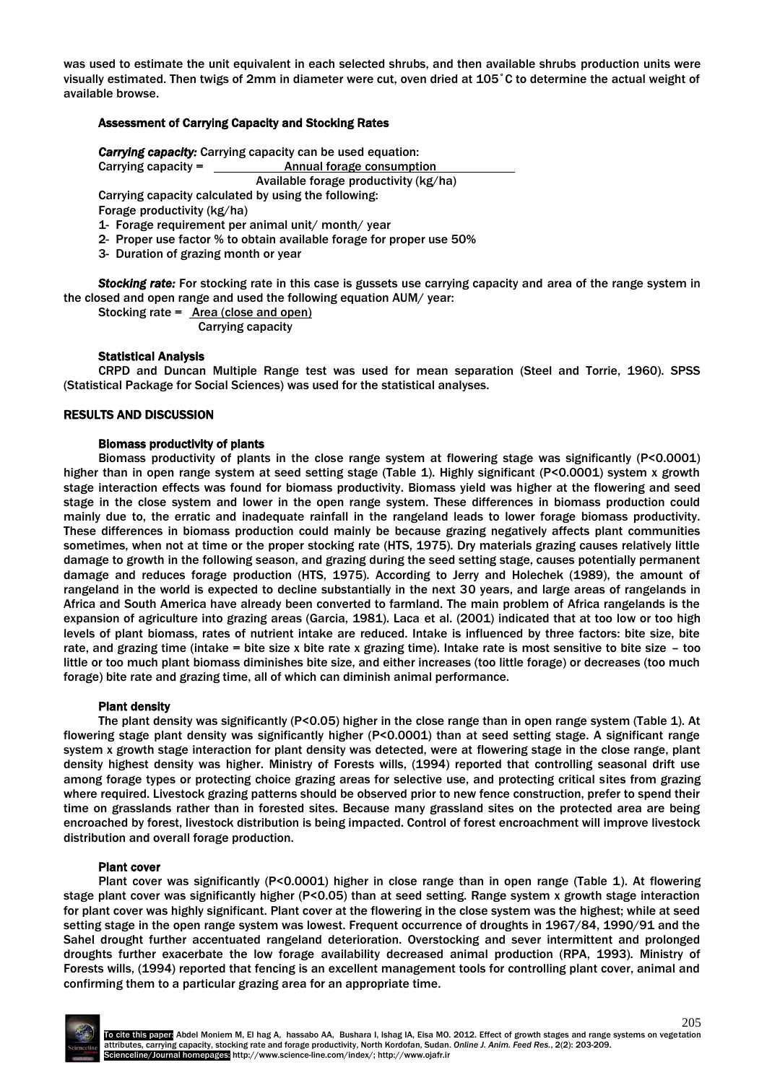was used to estimate the unit equivalent in each selected shrubs, and then available shrubs production units were visually estimated. Then twigs of 2mm in diameter were cut, oven dried at 105˚C to determine the actual weight of available browse.

# Assessment of Carrying Capacity and Stocking Rates

*Carrying capacity:* Carrying capacity can be used equation: Carrying capacity = Annual forage consumption Available forage productivity (kg/ha) Carrying capacity calculated by using the following:

Forage productivity (kg/ha)

1- Forage requirement per animal unit/ month/ year

- 2- Proper use factor % to obtain available forage for proper use 50%
- 3- Duration of grazing month or year

*Stocking rate:* For stocking rate in this case is gussets use carrying capacity and area of the range system in the closed and open range and used the following equation AUM/ year:

Stocking rate = Area (close and open)

Carrying capacity

#### Statistical Analysis

CRPD and Duncan Multiple Range test was used for mean separation (Steel and Torrie, 1960). SPSS (Statistical Package for Social Sciences) was used for the statistical analyses.

#### RESULTS AND DISCUSSION

## Biomass productivity of plants

Biomass productivity of plants in the close range system at flowering stage was significantly (P<0.0001) higher than in open range system at seed setting stage (Table 1). Highly significant (P<0.0001) system x growth stage interaction effects was found for biomass productivity. Biomass yield was higher at the flowering and seed stage in the close system and lower in the open range system. These differences in biomass production could mainly due to, the erratic and inadequate rainfall in the rangeland leads to lower forage biomass productivity. These differences in biomass production could mainly be because grazing negatively affects plant communities sometimes, when not at time or the proper stocking rate (HTS, 1975). Dry materials grazing causes relatively little damage to growth in the following season, and grazing during the seed setting stage, causes potentially permanent damage and reduces forage production (HTS, 1975). According to Jerry and Holechek (1989), the amount of rangeland in the world is expected to decline substantially in the next 30 years, and large areas of rangelands in Africa and South America have already been converted to farmland. The main problem of Africa rangelands is the expansion of agriculture into grazing areas (Garcia, 1981). Laca et al. (2001) indicated that at too low or too high levels of plant biomass, rates of nutrient intake are reduced. Intake is influenced by three factors: bite size, bite rate, and grazing time (intake = bite size x bite rate x grazing time). Intake rate is most sensitive to bite size – too little or too much plant biomass diminishes bite size, and either increases (too little forage) or decreases (too much forage) bite rate and grazing time, all of which can diminish animal performance.

#### Plant density

The plant density was significantly (P<0.05) higher in the close range than in open range system (Table 1). At flowering stage plant density was significantly higher (P<0.0001) than at seed setting stage. A significant range system x growth stage interaction for plant density was detected, were at flowering stage in the close range, plant density highest density was higher. Ministry of Forests wills, (1994) reported that controlling seasonal drift use among forage types or protecting choice grazing areas for selective use, and protecting critical sites from grazing where required. Livestock grazing patterns should be observed prior to new fence construction, prefer to spend their time on grasslands rather than in forested sites. Because many grassland sites on the protected area are being encroached by forest, livestock distribution is being impacted. Control of forest encroachment will improve livestock distribution and overall forage production.

#### Plant cover

Plant cover was significantly (P<0.0001) higher in close range than in open range (Table 1). At flowering stage plant cover was significantly higher (P<0.05) than at seed setting. Range system x growth stage interaction for plant cover was highly significant. Plant cover at the flowering in the close system was the highest; while at seed setting stage in the open range system was lowest. Frequent occurrence of droughts in 1967/84, 1990/91 and the Sahel drought further accentuated rangeland deterioration. Overstocking and sever intermittent and prolonged droughts further exacerbate the low forage availability decreased animal production (RPA, 1993). Ministry of Forests wills, (1994) reported that fencing is an excellent management tools for controlling plant cover, animal and confirming them to a particular grazing area for an appropriate time.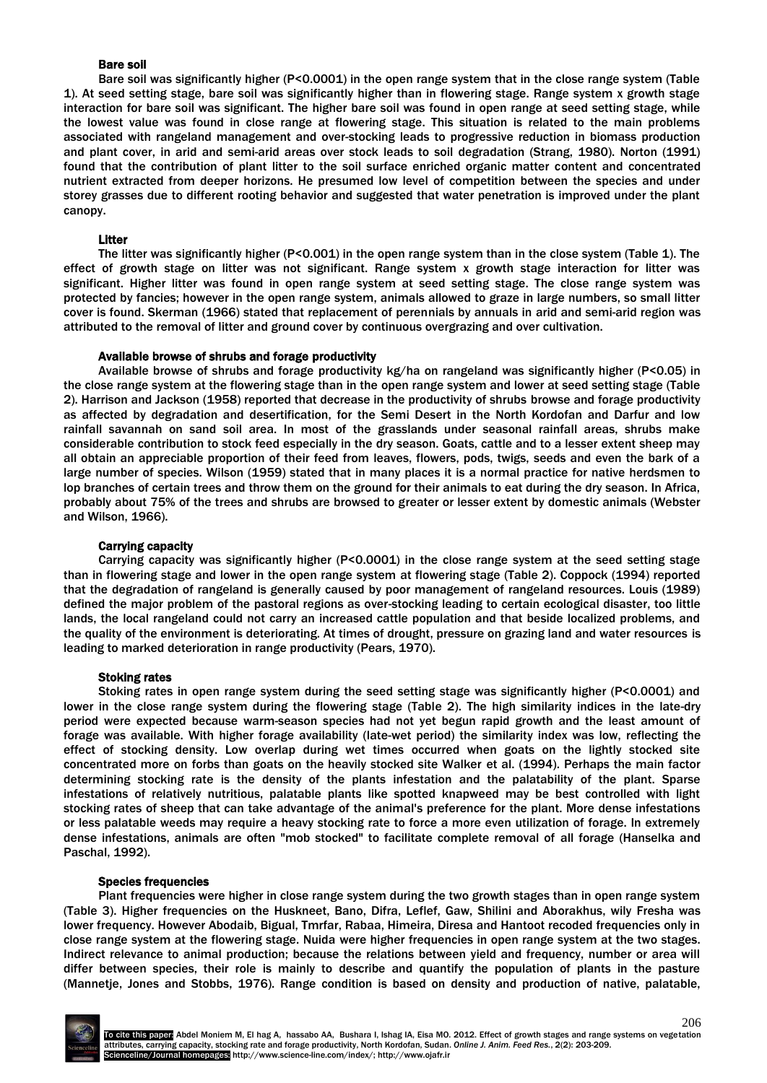## Bare soil

Bare soil was significantly higher (P<0.0001) in the open range system that in the close range system (Table 1). At seed setting stage, bare soil was significantly higher than in flowering stage. Range system x growth stage interaction for bare soil was significant. The higher bare soil was found in open range at seed setting stage, while the lowest value was found in close range at flowering stage. This situation is related to the main problems associated with rangeland management and over-stocking leads to progressive reduction in biomass production and plant cover, in arid and semi-arid areas over stock leads to soil degradation (Strang, 1980). Norton (1991) found that the contribution of plant litter to the soil surface enriched organic matter content and concentrated nutrient extracted from deeper horizons. He presumed low level of competition between the species and under storey grasses due to different rooting behavior and suggested that water penetration is improved under the plant canopy.

## Litter

The litter was significantly higher (P<0.001) in the open range system than in the close system (Table 1). The effect of growth stage on litter was not significant. Range system x growth stage interaction for litter was significant. Higher litter was found in open range system at seed setting stage. The close range system was protected by fancies; however in the open range system, animals allowed to graze in large numbers, so small litter cover is found. Skerman (1966) stated that replacement of perennials by annuals in arid and semi-arid region was attributed to the removal of litter and ground cover by continuous overgrazing and over cultivation.

#### Available browse of shrubs and forage productivity

Available browse of shrubs and forage productivity kg/ha on rangeland was significantly higher (P<0.05) in the close range system at the flowering stage than in the open range system and lower at seed setting stage (Table 2). Harrison and Jackson (1958) reported that decrease in the productivity of shrubs browse and forage productivity as affected by degradation and desertification, for the Semi Desert in the North Kordofan and Darfur and low rainfall savannah on sand soil area. In most of the grasslands under seasonal rainfall areas, shrubs make considerable contribution to stock feed especially in the dry season. Goats, cattle and to a lesser extent sheep may all obtain an appreciable proportion of their feed from leaves, flowers, pods, twigs, seeds and even the bark of a large number of species. Wilson (1959) stated that in many places it is a normal practice for native herdsmen to lop branches of certain trees and throw them on the ground for their animals to eat during the dry season. In Africa, probably about 75% of the trees and shrubs are browsed to greater or lesser extent by domestic animals (Webster and Wilson, 1966).

## Carrying capacity

Carrying capacity was significantly higher (P<0.0001) in the close range system at the seed setting stage than in flowering stage and lower in the open range system at flowering stage (Table 2). Coppock (1994) reported that the degradation of rangeland is generally caused by poor management of rangeland resources. Louis (1989) defined the major problem of the pastoral regions as over-stocking leading to certain ecological disaster, too little lands, the local rangeland could not carry an increased cattle population and that beside localized problems, and the quality of the environment is deteriorating. At times of drought, pressure on grazing land and water resources is leading to marked deterioration in range productivity (Pears, 1970).

#### Stoking rates

Stoking rates in open range system during the seed setting stage was significantly higher (P<0.0001) and lower in the close range system during the flowering stage (Table 2). The high similarity indices in the late-dry period were expected because warm-season species had not yet begun rapid growth and the least amount of forage was available. With higher forage availability (late-wet period) the similarity index was low, reflecting the effect of stocking density. Low overlap during wet times occurred when goats on the lightly stocked site concentrated more on forbs than goats on the heavily stocked site Walker et al. (1994). Perhaps the main factor determining stocking rate is the density of the plants infestation and the palatability of the plant. Sparse infestations of relatively nutritious, palatable plants like spotted knapweed may be best controlled with light stocking rates of sheep that can take advantage of the animal's preference for the plant. More dense infestations or less palatable weeds may require a heavy stocking rate to force a more even utilization of forage. In extremely dense infestations, animals are often "mob stocked" to facilitate complete removal of all forage (Hanselka and Paschal, 1992).

#### Species frequencies

Plant frequencies were higher in close range system during the two growth stages than in open range system (Table 3). Higher frequencies on the Huskneet, Bano, Difra, Leflef, Gaw, Shilini and Aborakhus, wily Fresha was lower frequency. However Abodaib, Bigual, Tmrfar, Rabaa, Himeira, Diresa and Hantoot recoded frequencies only in close range system at the flowering stage. Nuida were higher frequencies in open range system at the two stages. Indirect relevance to animal production; because the relations between yield and frequency, number or area will differ between species, their role is mainly to describe and quantify the population of plants in the pasture (Mannetje, Jones and Stobbs, 1976). Range condition is based on density and production of native, palatable,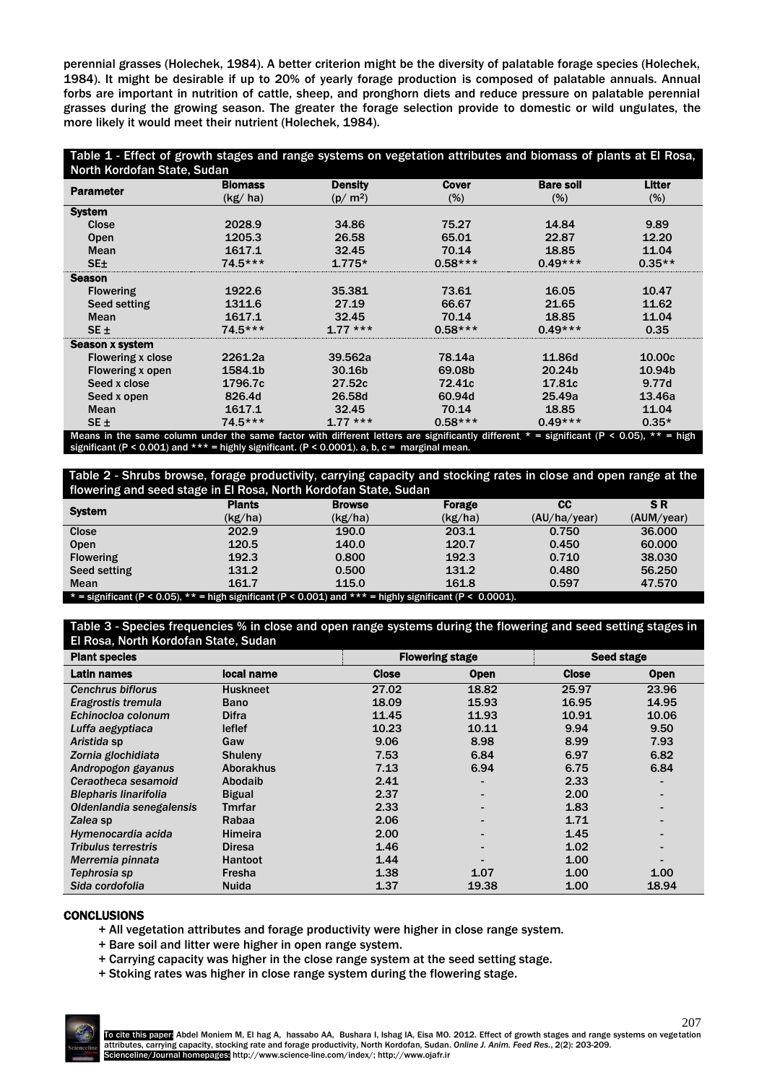perennial grasses (Holechek, 1984). A better criterion might be the diversity of palatable forage species (Holechek, 1984). It might be desirable if up to 20% of yearly forage production is composed of palatable annuals. Annual forbs are important in nutrition of cattle, sheep, and pronghorn diets and reduce pressure on palatable perennial grasses during the growing season. The greater the forage selection provide to domestic or wild ungulates, the more likely it would meet their nutrient (Holechek, 1984).

| Table 1 - Effect of growth stages and range systems on vegetation attributes and biomass of plants at El Rosa, |                |                |                |                  |                         |  |  |
|----------------------------------------------------------------------------------------------------------------|----------------|----------------|----------------|------------------|-------------------------|--|--|
| North Kordofan State, Sudan                                                                                    |                |                |                |                  |                         |  |  |
| <b>Parameter</b>                                                                                               | <b>Blomass</b> | <b>Density</b> | <b>Cover</b>   | <b>Bare soil</b> | <b>Litter</b>           |  |  |
|                                                                                                                | (kg/ha)        | $(p/m^2)$      | $(\%)$         | $(\%)$           | $(\%)$                  |  |  |
| <b>System</b>                                                                                                  |                |                |                |                  |                         |  |  |
| Close                                                                                                          | 2028.9         | 34.86          | 75.27          | 14.84            | 9.89                    |  |  |
| <b>Open</b>                                                                                                    | 1205.3         | 26.58          | 65.01          | 22.87            | 12.20                   |  |  |
| Mean                                                                                                           | 1617.1         | 32.45          | 70.14          | 18.85            | 11.04                   |  |  |
| SE <sub>±</sub>                                                                                                | $74.5***$      | $1.775*$       | $0.58***$      | $0.49***$        | $0.35**$                |  |  |
| <b>Season</b>                                                                                                  |                |                |                |                  |                         |  |  |
| <b>Flowering</b>                                                                                               | 1922.6         | 35.381         | 73.61          | 16.05            | 10.47                   |  |  |
| Seed setting                                                                                                   | 1311.6         | 27.19          | 66.67          | 21.65            | 11.62                   |  |  |
| <b>Mean</b>                                                                                                    | 1617.1         | 32.45          | 70.14          | 18.85            | 11.04                   |  |  |
| $SE \pm$                                                                                                       | $74.5***$      | $1.77***$      | $0.58***$      | $0.49***$        | 0.35                    |  |  |
| Season x system                                                                                                |                |                |                |                  |                         |  |  |
| <b>Flowering x close</b>                                                                                       | 2261.2a        | 39.562a        | 78.14a         | 11.86d           | 10.00c                  |  |  |
| Flowering x open                                                                                               | 1584.1b        | 30.16b         | 69.08b         | 20.24b           | 10.94b                  |  |  |
| Seed x close                                                                                                   | 1796.7c        | 27.52c         | 72.41c         | 17.81c           | 9.77d                   |  |  |
| Seed x open                                                                                                    | 826.4d         | 26.58d         | 60.94d         | 25.49a           | 13.46a                  |  |  |
| Mean                                                                                                           | 1617.1         | 32.45          | 70.14          | 18.85            | 11.04                   |  |  |
| $SE \pm$                                                                                                       | $74.5***$      | $1.77***$      | $0.58***$<br>. | $0.49***$        | $0.35*$<br>$\mathbf{u}$ |  |  |

e column under the same factor with different letters are significantly different  $\,^*$  = significant ( significant (P < 0.001) and \*\*\* = highly significant. (P < 0.0001). a, b, c = marginal mean.

Table 2 - Shrubs browse, forage productivity, carrying capacity and stocking rates in close and open range at the<br>flowering and seed stage in El Posa, North Kordofan State, Sudan a North Kordofan St

| nowering and seculoage in Entosa, North Roldolan State, Sudan                                                  |               |               |         |              |            |  |  |
|----------------------------------------------------------------------------------------------------------------|---------------|---------------|---------|--------------|------------|--|--|
| <b>System</b>                                                                                                  | <b>Plants</b> | <b>Browse</b> | Forage  | CС           | SR.        |  |  |
|                                                                                                                | (kg/ha)       | (kg/ha)       | (kg/ha) | (AU/ha/year) | (AUM/year) |  |  |
| <b>Close</b>                                                                                                   | 202.9         | <b>190.0</b>  | 203.1   | 0.750        | 36,000     |  |  |
| Open                                                                                                           | 120.5         | 140.0         | 120.7   | 0.450        | 60,000     |  |  |
| <b>Flowering</b>                                                                                               | 192.3         | 0.800         | 192.3   | 0.710        | 38,030     |  |  |
| Seed setting                                                                                                   | 131.2         | 0.500         | 131.2   | 0.480        | 56.250     |  |  |
| Mean                                                                                                           | 161.7         | 115.0         | 161.8   | 0.597        | 47.570     |  |  |
| $*$ = significant (P < 0.05), $**$ = high significant (P < 0.001) and $***$ = highly significant (P < 0.0001). |               |               |         |              |            |  |  |

# Table 3 - Species frequencies % in close and open range systems during the flowering and seed setting stages in El Rosa, North Kordofan State, Sudan

| <b>Plant species</b>         |                  | <b>Flowering stage</b> |             | <b>Seed stage</b> |             |
|------------------------------|------------------|------------------------|-------------|-------------------|-------------|
| Latin names                  | local name       | <b>Close</b>           | <b>Open</b> | <b>Close</b>      | <b>Open</b> |
| <b>Cenchrus biflorus</b>     | <b>Huskneet</b>  | 27.02                  | 18.82       | 25.97             | 23.96       |
| Eragrostis tremula           | <b>Bano</b>      | 18.09                  | 15.93       | 16.95             | 14.95       |
| Echinocloa colonum           | <b>Difra</b>     | 11.45                  | 11.93       | 10.91             | 10.06       |
| Luffa aegyptiaca             | leflef           | 10.23                  | 10.11       | 9.94              | 9.50        |
| Aristida sp                  | Gaw              | 9.06                   | 8.98        | 8.99              | 7.93        |
| Zornia glochidiata           | <b>Shulenv</b>   | 7.53                   | 6.84        | 6.97              | 6.82        |
| Andropogon gayanus           | <b>Aborakhus</b> | 7.13                   | 6.94        | 6.75              | 6.84        |
| Ceraotheca sesamoid          | Abodaib          | 2.41                   |             | 2.33              |             |
| <b>Blepharis linarifolia</b> | <b>Bigual</b>    | 2.37                   |             | 2.00              |             |
| Oldenlandia senegalensis     | Tmrfar           | 2.33                   |             | 1.83              |             |
| Zalea sp                     | Rabaa            | 2.06                   |             | 1.71              |             |
| Hymenocardia acida           | <b>Himeira</b>   | 2.00                   |             | 1.45              |             |
| <b>Tribulus terrestris</b>   | <b>Diresa</b>    | 1.46                   |             | 1.02              |             |
| Merremia pinnata             | <b>Hantoot</b>   | 1.44                   |             | 1.00              |             |
| Tephrosia sp                 | Fresha           | 1.38                   | 1.07        | 1.00              | 1.00        |
| Sida cordofolia              | <b>Nuida</b>     | 1.37                   | 19.38       | 1.00              | 18.94       |

## **CONCLUSIONS**

- + All vegetation attributes and forage productivity were higher in close range system.
- + Bare soil and litter were higher in open range system.
- + Carrying capacity was higher in the close range system at the seed setting stage.
- + Stoking rates was higher in close range system during the flowering stage.

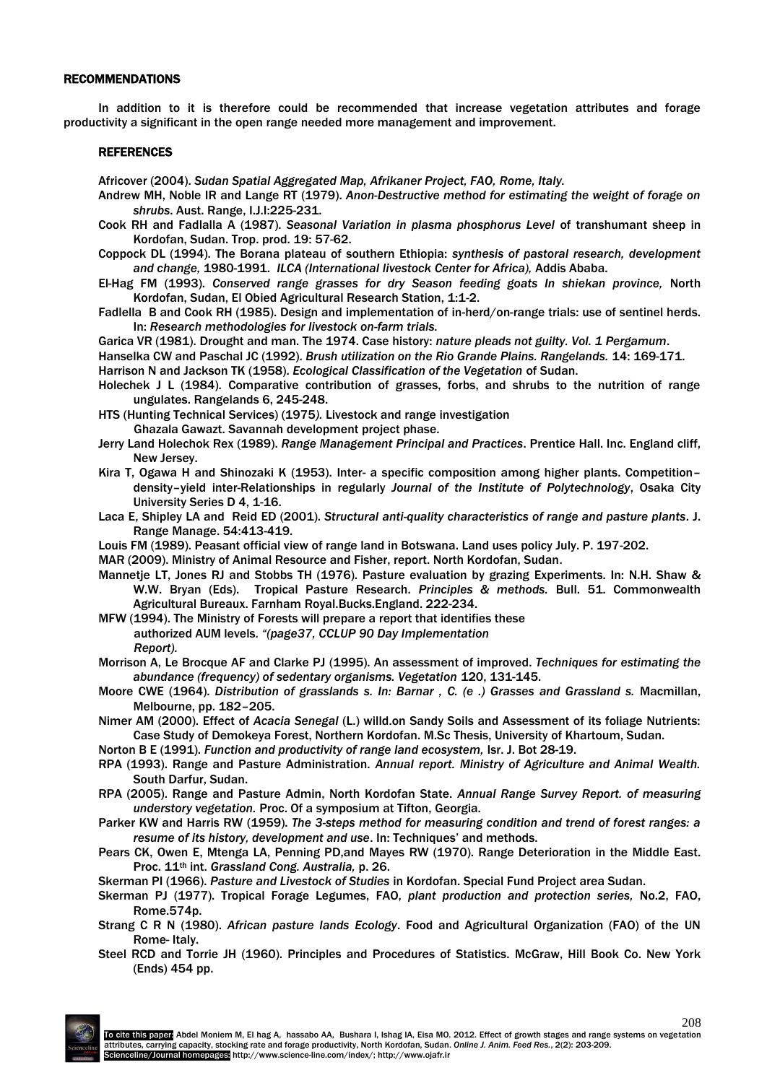#### RECOMMENDATIONS

In addition to it is therefore could be recommended that increase vegetation attributes and forage productivity a significant in the open range needed more management and improvement.

#### **REFERENCES**

Africover (2004). *Sudan Spatial Aggregated Map, Afrikaner Project, FAO, Rome, Italy.*

- Andrew MH, Noble IR and Lange RT (1979). *Anon-Destructive method for estimating the weight of forage on shrubs*. Aust. Range, I.J.I:225-231.
- Cook RH and Fadlalla A (1987). *Seasonal Variation in plasma phosphorus Level* of transhumant sheep in Kordofan, Sudan. Trop. prod. 19: 57-62.
- Coppock DL (1994). The Borana plateau of southern Ethiopia: *synthesis of pastoral research, development and change,* 1980-1991. *ILCA (International livestock Center for Africa),* Addis Ababa.
- El-Hag FM (1993). *Conserved range grasses for dry Season feeding goats In shiekan province,* North Kordofan, Sudan, El Obied Agricultural Research Station, 1:1-2.
- Fadlella B and Cook RH (1985). Design and implementation of in-herd/on-range trials: use of sentinel herds. In: *Research methodologies for livestock on-farm trials.*

Garica VR (1981). Drought and man. The 1974. Case history: *nature pleads not guilty. Vol. 1 Pergamum*.

Hanselka CW and Paschal JC (1992). *Brush utilization on the Rio Grande Plains. Rangelands.* 14: 169-171.

- Harrison N and Jackson TK (1958). *Ecological Classification of the Vegetation* of Sudan.
- Holechek J L (1984). Comparative contribution of grasses, forbs, and shrubs to the nutrition of range ungulates. Rangelands 6, 245-248.
- HTS (Hunting Technical Services) (1975*).* Livestock and range investigation

Ghazala Gawazt. Savannah development project phase.

- Jerry Land Holechok Rex (1989). *Range Management Principal and Practices*. Prentice Hall. Inc. England cliff, New Jersey.
- Kira T, Ogawa H and Shinozaki K (1953). Inter- a specific composition among higher plants. Competition– density–yield inter-Relationships in regularly *Journal of the Institute of Polytechnology*, Osaka City University Series D 4, 1-16.
- Laca E, Shipley LA and Reid ED (2001). *Structural anti-quality characteristics of range and pasture plants*. J. Range Manage. 54:413-419.
- Louis FM (1989). Peasant official view of range land in Botswana. Land uses policy July. P. 197-202.
- MAR (2009). Ministry of Animal Resource and Fisher, report. North Kordofan, Sudan.
- Mannetje LT, Jones RJ and Stobbs TH (1976). Pasture evaluation by grazing Experiments. In: N.H. Shaw & W.W. Bryan (Eds). Tropical Pasture Research. *Principles & methods.* Bull. 51. Commonwealth Agricultural Bureaux. Farnham Royal.Bucks.England. 222-234.
- MFW (1994). The Ministry of Forests will prepare a report that identifies these authorized AUM levels*. "(page37, CCLUP 90 Day Implementation Report).*
- Morrison A, Le Brocque AF and Clarke PJ (1995). An assessment of improved. *Techniques for estimating the abundance (frequency) of sedentary organisms. Vegetation* 120, 131-145.
- Moore CWE (1964). *Distribution of grasslands s. In: Barnar , C. (e .) Grasses and Grassland s.* Macmillan, Melbourne, pp. 182–205.
- Nimer AM (2000). Effect of *Acacia Senegal* (L.) willd.on Sandy Soils and Assessment of its foliage Nutrients: Case Study of Demokeya Forest, Northern Kordofan. M.Sc Thesis, University of Khartoum, Sudan.

Norton B E (1991). *Function and productivity of range land ecosystem,* Isr. J. Bot 28-19.

- RPA (1993). Range and Pasture Administration. *Annual report. Ministry of Agriculture and Animal Wealth.* South Darfur, Sudan.
- RPA (2005). Range and Pasture Admin, North Kordofan State. *Annual Range Survey Report. of measuring understory vegetation.* Proc. Of a symposium at Tifton, Georgia.
- Parker KW and Harris RW (1959). *The 3-steps method for measuring condition and trend of forest ranges: a resume of its history, development and use*. In: Techniques' and methods.
- Pears CK, Owen E, Mtenga LA, Penning PD,and Mayes RW (1970). Range Deterioration in the Middle East. Proc. 11th int. *Grassland Cong. Australia,* p. 26.
- Skerman PI (1966). *Pasture and Livestock of Studies* in Kordofan. Special Fund Project area Sudan.
- Skerman PJ (1977). Tropical Forage Legumes, FAO, *plant production and protection series,* No.2, FAO, Rome.574p.
- Strang C R N (1980). *African pasture lands Ecology*. Food and Agricultural Organization (FAO) of the UN Rome- Italy.
- Steel RCD and Torrie JH (1960). Principles and Procedures of Statistics. McGraw, Hill Book Co. New York (Ends) 454 pp.